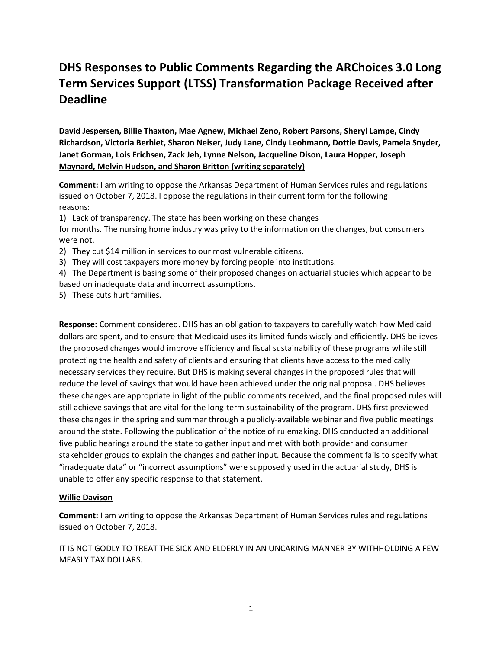# DHS Responses to Public Comments Regarding the ARChoices 3.0 Long Term Services Support (LTSS) Transformation Package Received after Deadline

David Jespersen, Billie Thaxton, Mae Agnew, Michael Zeno, Robert Parsons, Sheryl Lampe, Cindy Richardson, Victoria Berhiet, Sharon Neiser, Judy Lane, Cindy Leohmann, Dottie Davis, Pamela Snyder, Janet Gorman, Lois Erichsen, Zack Jeh, Lynne Nelson, Jacqueline Dison, Laura Hopper, Joseph Maynard, Melvin Hudson, and Sharon Britton (writing separately)

Comment: I am writing to oppose the Arkansas Department of Human Services rules and regulations issued on October 7, 2018. I oppose the regulations in their current form for the following reasons:

1) Lack of transparency. The state has been working on these changes

for months. The nursing home industry was privy to the information on the changes, but consumers were not.

- 2) They cut \$14 million in services to our most vulnerable citizens.
- 3) They will cost taxpayers more money by forcing people into institutions.
- 4) The Department is basing some of their proposed changes on actuarial studies which appear to be based on inadequate data and incorrect assumptions.
- 5) These cuts hurt families.

Response: Comment considered. DHS has an obligation to taxpayers to carefully watch how Medicaid dollars are spent, and to ensure that Medicaid uses its limited funds wisely and efficiently. DHS believes the proposed changes would improve efficiency and fiscal sustainability of these programs while still protecting the health and safety of clients and ensuring that clients have access to the medically necessary services they require. But DHS is making several changes in the proposed rules that will reduce the level of savings that would have been achieved under the original proposal. DHS believes these changes are appropriate in light of the public comments received, and the final proposed rules will still achieve savings that are vital for the long-term sustainability of the program. DHS first previewed these changes in the spring and summer through a publicly-available webinar and five public meetings around the state. Following the publication of the notice of rulemaking, DHS conducted an additional five public hearings around the state to gather input and met with both provider and consumer stakeholder groups to explain the changes and gather input. Because the comment fails to specify what "inadequate data" or "incorrect assumptions" were supposedly used in the actuarial study, DHS is unable to offer any specific response to that statement.

## Willie Davison

Comment: I am writing to oppose the Arkansas Department of Human Services rules and regulations issued on October 7, 2018.

IT IS NOT GODLY TO TREAT THE SICK AND ELDERLY IN AN UNCARING MANNER BY WITHHOLDING A FEW MEASLY TAX DOLLARS.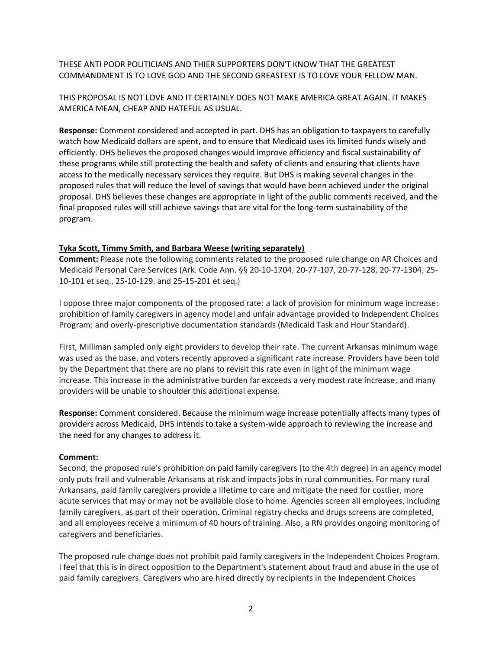THESE ANTI POOR POLITICIANS AND THIER SUPPORTERS DON'T KNOW THAT THE GREATEST COMMANDMENT IS TO LOVE GOD AND THE SECOND GREASTEST IS TO LOVE YOUR FELLOW MAN.

THIS PROPOSAL IS NOT LOVE AND IT CERTAINLY DOES NOT MAKE AMERICA GREAT AGAIN. iT MAKES AMERICA MEAN, CHEAP AND HATEFUL AS USUAL.

Response: Comment considered and accepted in part. DHS has an obligation to taxpayers to carefully watch how Medicaid dollars are spent, and to ensure that Medicaid uses its limited funds wisely and efficiently. DHS believes the proposed changes would improve efficiency and fiscal sustainability of these programs while still protecting the health and safety of clients and ensuring that clients have access to the medically necessary services they require. But DHS is making several changes in the proposed rules that will reduce the level of savings that would have been achieved under the original proposal. DHS believes these changes are appropriate in light of the public comments received, and the final proposed rules will still achieve savings that are vital for the long-term sustainability of the program.

#### Tyka Scott, Timmy Smith, and Barbara Weese (writing separately)

Comment: Please note the following comments related to the proposed rule change on AR Choices and Medicaid Personal Care Services (Ark. Code Ann. §§ 20-10-1704, 20-77-107, 20-77-128, 20-77-1304, 25- 10-101 et seq., 25-10-129, and 25-15-201 et seq.)

I oppose three major components of the proposed rate: a lack of provision for minimum wage increase; prohibition of family caregivers in agency model and unfair advantage provided to Independent Choices Program; and overly-prescriptive documentation standards (Medicaid Task and Hour Standard).

First, Milliman sampled only eight providers to develop their rate. The current Arkansas minimum wage was used as the base, and voters recently approved a significant rate increase. Providers have been told by the Department that there are no plans to revisit this rate even in light of the minimum wage increase. This increase in the administrative burden far exceeds a very modest rate increase, and many providers will be unable to shoulder this additional expense.

Response: Comment considered. Because the minimum wage increase potentially affects many types of providers across Medicaid, DHS intends to take a system-wide approach to reviewing the increase and the need for any changes to address it.

#### Comment:

Second, the proposed rule's prohibition on paid family caregivers (to the 4th degree) in an agency model only puts frail and vulnerable Arkansans at risk and impacts jobs in rural communities. For many rural Arkansans, paid family caregivers provide a lifetime to care and mitigate the need for costlier, more acute services that may or may not be available close to home. Agencies screen all employees, including family caregivers, as part of their operation. Criminal registry checks and drugs screens are completed, and all employees receive a minimum of 40 hours of training. Also, a RN provides ongoing monitoring of caregivers and beneficiaries.

The proposed rule change does not prohibit paid family caregivers in the Independent Choices Program. I feel that this is in direct opposition to the Department's statement about fraud and abuse in the use of paid family caregivers. Caregivers who are hired directly by recipients in the Independent Choices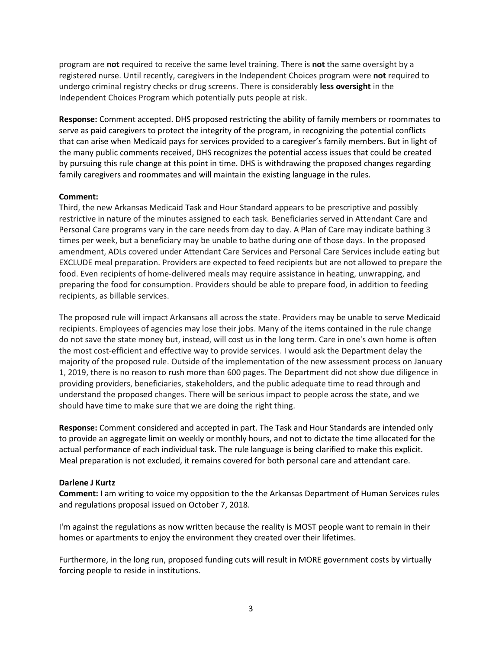program are not required to receive the same level training. There is not the same oversight by a registered nurse. Until recently, caregivers in the Independent Choices program were not required to undergo criminal registry checks or drug screens. There is considerably less oversight in the Independent Choices Program which potentially puts people at risk.

Response: Comment accepted. DHS proposed restricting the ability of family members or roommates to serve as paid caregivers to protect the integrity of the program, in recognizing the potential conflicts that can arise when Medicaid pays for services provided to a caregiver's family members. But in light of the many public comments received, DHS recognizes the potential access issues that could be created by pursuing this rule change at this point in time. DHS is withdrawing the proposed changes regarding family caregivers and roommates and will maintain the existing language in the rules.

## Comment:

Third, the new Arkansas Medicaid Task and Hour Standard appears to be prescriptive and possibly restrictive in nature of the minutes assigned to each task. Beneficiaries served in Attendant Care and Personal Care programs vary in the care needs from day to day. A Plan of Care may indicate bathing 3 times per week, but a beneficiary may be unable to bathe during one of those days. In the proposed amendment, ADLs covered under Attendant Care Services and Personal Care Services include eating but EXCLUDE meal preparation. Providers are expected to feed recipients but are not allowed to prepare the food. Even recipients of home-delivered meals may require assistance in heating, unwrapping, and preparing the food for consumption. Providers should be able to prepare food, in addition to feeding recipients, as billable services.

The proposed rule will impact Arkansans all across the state. Providers may be unable to serve Medicaid recipients. Employees of agencies may lose their jobs. Many of the items contained in the rule change do not save the state money but, instead, will cost us in the long term. Care in one's own home is often the most cost-efficient and effective way to provide services. I would ask the Department delay the majority of the proposed rule. Outside of the implementation of the new assessment process on January 1, 2019, there is no reason to rush more than 600 pages. The Department did not show due diligence in providing providers, beneficiaries, stakeholders, and the public adequate time to read through and understand the proposed changes. There will be serious impact to people across the state, and we should have time to make sure that we are doing the right thing.

Response: Comment considered and accepted in part. The Task and Hour Standards are intended only to provide an aggregate limit on weekly or monthly hours, and not to dictate the time allocated for the actual performance of each individual task. The rule language is being clarified to make this explicit. Meal preparation is not excluded, it remains covered for both personal care and attendant care.

## Darlene J Kurtz

Comment: I am writing to voice my opposition to the the Arkansas Department of Human Services rules and regulations proposal issued on October 7, 2018.

I'm against the regulations as now written because the reality is MOST people want to remain in their homes or apartments to enjoy the environment they created over their lifetimes.

Furthermore, in the long run, proposed funding cuts will result in MORE government costs by virtually forcing people to reside in institutions.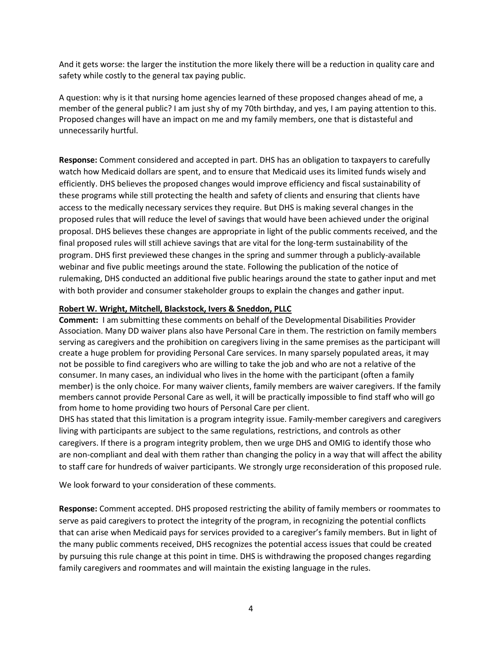And it gets worse: the larger the institution the more likely there will be a reduction in quality care and safety while costly to the general tax paying public.

A question: why is it that nursing home agencies learned of these proposed changes ahead of me, a member of the general public? I am just shy of my 70th birthday, and yes, I am paying attention to this. Proposed changes will have an impact on me and my family members, one that is distasteful and unnecessarily hurtful.

Response: Comment considered and accepted in part. DHS has an obligation to taxpayers to carefully watch how Medicaid dollars are spent, and to ensure that Medicaid uses its limited funds wisely and efficiently. DHS believes the proposed changes would improve efficiency and fiscal sustainability of these programs while still protecting the health and safety of clients and ensuring that clients have access to the medically necessary services they require. But DHS is making several changes in the proposed rules that will reduce the level of savings that would have been achieved under the original proposal. DHS believes these changes are appropriate in light of the public comments received, and the final proposed rules will still achieve savings that are vital for the long-term sustainability of the program. DHS first previewed these changes in the spring and summer through a publicly-available webinar and five public meetings around the state. Following the publication of the notice of rulemaking, DHS conducted an additional five public hearings around the state to gather input and met with both provider and consumer stakeholder groups to explain the changes and gather input.

#### Robert W. Wright, Mitchell, Blackstock, Ivers & Sneddon, PLLC

Comment: I am submitting these comments on behalf of the Developmental Disabilities Provider Association. Many DD waiver plans also have Personal Care in them. The restriction on family members serving as caregivers and the prohibition on caregivers living in the same premises as the participant will create a huge problem for providing Personal Care services. In many sparsely populated areas, it may not be possible to find caregivers who are willing to take the job and who are not a relative of the consumer. In many cases, an individual who lives in the home with the participant (often a family member) is the only choice. For many waiver clients, family members are waiver caregivers. If the family members cannot provide Personal Care as well, it will be practically impossible to find staff who will go from home to home providing two hours of Personal Care per client.

DHS has stated that this limitation is a program integrity issue. Family-member caregivers and caregivers living with participants are subject to the same regulations, restrictions, and controls as other caregivers. If there is a program integrity problem, then we urge DHS and OMIG to identify those who are non-compliant and deal with them rather than changing the policy in a way that will affect the ability to staff care for hundreds of waiver participants. We strongly urge reconsideration of this proposed rule.

We look forward to your consideration of these comments.

Response: Comment accepted. DHS proposed restricting the ability of family members or roommates to serve as paid caregivers to protect the integrity of the program, in recognizing the potential conflicts that can arise when Medicaid pays for services provided to a caregiver's family members. But in light of the many public comments received, DHS recognizes the potential access issues that could be created by pursuing this rule change at this point in time. DHS is withdrawing the proposed changes regarding family caregivers and roommates and will maintain the existing language in the rules.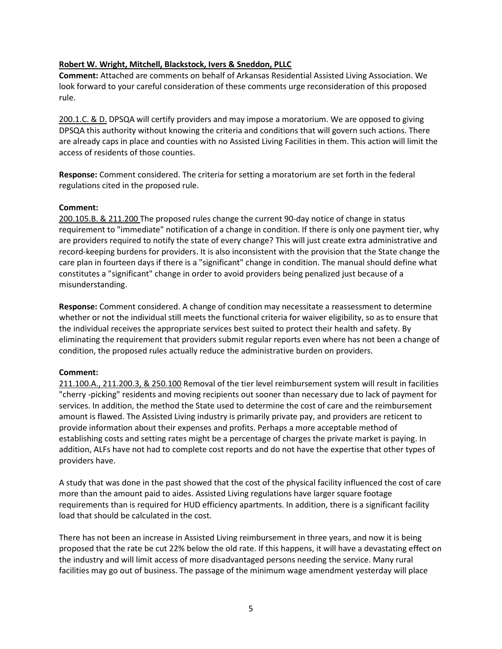## Robert W. Wright, Mitchell, Blackstock, Ivers & Sneddon, PLLC

Comment: Attached are comments on behalf of Arkansas Residential Assisted Living Association. We look forward to your careful consideration of these comments urge reconsideration of this proposed rule.

200.1.C. & D. DPSQA will certify providers and may impose a moratorium. We are opposed to giving DPSQA this authority without knowing the criteria and conditions that will govern such actions. There are already caps in place and counties with no Assisted Living Facilities in them. This action will limit the access of residents of those counties.

Response: Comment considered. The criteria for setting a moratorium are set forth in the federal regulations cited in the proposed rule.

## Comment:

200.105.B. & 211.200 The proposed rules change the current 90-day notice of change in status requirement to "immediate" notification of a change in condition. If there is only one payment tier, why are providers required to notify the state of every change? This will just create extra administrative and record-keeping burdens for providers. It is also inconsistent with the provision that the State change the care plan in fourteen days if there is a "significant" change in condition. The manual should define what constitutes a "significant" change in order to avoid providers being penalized just because of a misunderstanding.

Response: Comment considered. A change of condition may necessitate a reassessment to determine whether or not the individual still meets the functional criteria for waiver eligibility, so as to ensure that the individual receives the appropriate services best suited to protect their health and safety. By eliminating the requirement that providers submit regular reports even where has not been a change of condition, the proposed rules actually reduce the administrative burden on providers.

# Comment:

211.100.A., 211.200.3, & 250.100 Removal of the tier level reimbursement system will result in facilities "cherry -picking" residents and moving recipients out sooner than necessary due to lack of payment for services. In addition, the method the State used to determine the cost of care and the reimbursement amount is flawed. The Assisted Living industry is primarily private pay, and providers are reticent to provide information about their expenses and profits. Perhaps a more acceptable method of establishing costs and setting rates might be a percentage of charges the private market is paying. In addition, ALFs have not had to complete cost reports and do not have the expertise that other types of providers have.

A study that was done in the past showed that the cost of the physical facility influenced the cost of care more than the amount paid to aides. Assisted Living regulations have larger square footage requirements than is required for HUD efficiency apartments. In addition, there is a significant facility load that should be calculated in the cost.

There has not been an increase in Assisted Living reimbursement in three years, and now it is being proposed that the rate be cut 22% below the old rate. If this happens, it will have a devastating effect on the industry and will limit access of more disadvantaged persons needing the service. Many rural facilities may go out of business. The passage of the minimum wage amendment yesterday will place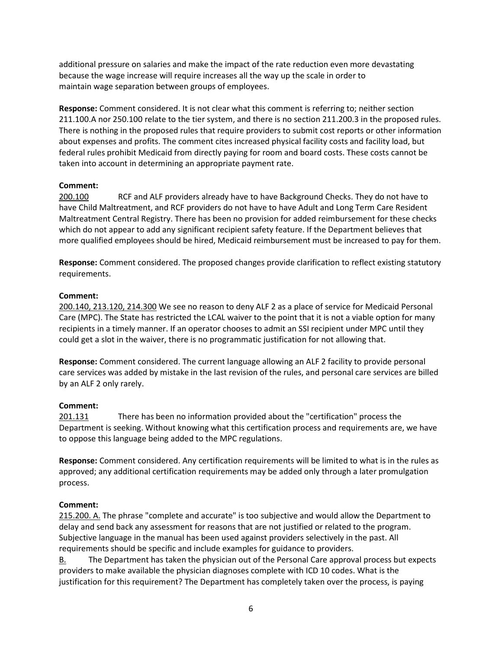additional pressure on salaries and make the impact of the rate reduction even more devastating because the wage increase will require increases all the way up the scale in order to maintain wage separation between groups of employees.

Response: Comment considered. It is not clear what this comment is referring to; neither section 211.100.A nor 250.100 relate to the tier system, and there is no section 211.200.3 in the proposed rules. There is nothing in the proposed rules that require providers to submit cost reports or other information about expenses and profits. The comment cites increased physical facility costs and facility load, but federal rules prohibit Medicaid from directly paying for room and board costs. These costs cannot be taken into account in determining an appropriate payment rate.

# Comment:

200.100 RCF and ALF providers already have to have Background Checks. They do not have to have Child Maltreatment, and RCF providers do not have to have Adult and Long Term Care Resident Maltreatment Central Registry. There has been no provision for added reimbursement for these checks which do not appear to add any significant recipient safety feature. If the Department believes that more qualified employees should be hired, Medicaid reimbursement must be increased to pay for them.

Response: Comment considered. The proposed changes provide clarification to reflect existing statutory requirements.

# Comment:

200.140, 213.120, 214.300 We see no reason to deny ALF 2 as a place of service for Medicaid Personal Care (MPC). The State has restricted the LCAL waiver to the point that it is not a viable option for many recipients in a timely manner. If an operator chooses to admit an SSI recipient under MPC until they could get a slot in the waiver, there is no programmatic justification for not allowing that.

Response: Comment considered. The current language allowing an ALF 2 facility to provide personal care services was added by mistake in the last revision of the rules, and personal care services are billed by an ALF 2 only rarely.

# Comment:

201.131 There has been no information provided about the "certification" process the Department is seeking. Without knowing what this certification process and requirements are, we have to oppose this language being added to the MPC regulations.

Response: Comment considered. Any certification requirements will be limited to what is in the rules as approved; any additional certification requirements may be added only through a later promulgation process.

# Comment:

215.200. A. The phrase "complete and accurate" is too subjective and would allow the Department to delay and send back any assessment for reasons that are not justified or related to the program. Subjective language in the manual has been used against providers selectively in the past. All requirements should be specific and include examples for guidance to providers.

B. The Department has taken the physician out of the Personal Care approval process but expects providers to make available the physician diagnoses complete with ICD 10 codes. What is the justification for this requirement? The Department has completely taken over the process, is paying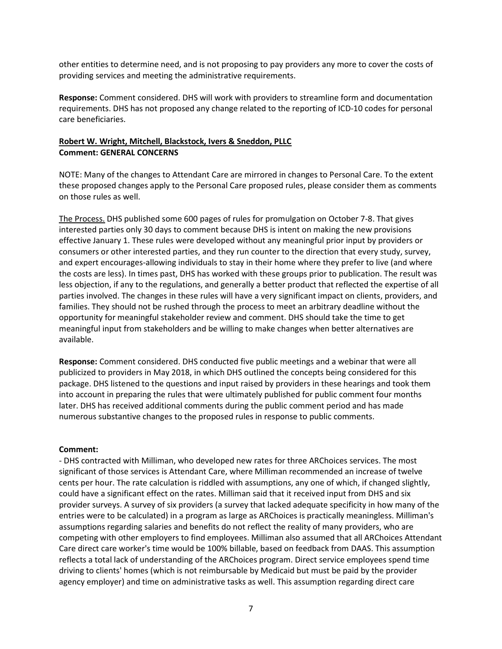other entities to determine need, and is not proposing to pay providers any more to cover the costs of providing services and meeting the administrative requirements.

Response: Comment considered. DHS will work with providers to streamline form and documentation requirements. DHS has not proposed any change related to the reporting of ICD-10 codes for personal care beneficiaries.

## Robert W. Wright, Mitchell, Blackstock, Ivers & Sneddon, PLLC Comment: GENERAL CONCERNS

NOTE: Many of the changes to Attendant Care are mirrored in changes to Personal Care. To the extent these proposed changes apply to the Personal Care proposed rules, please consider them as comments on those rules as well.

The Process. DHS published some 600 pages of rules for promulgation on October 7-8. That gives interested parties only 30 days to comment because DHS is intent on making the new provisions effective January 1. These rules were developed without any meaningful prior input by providers or consumers or other interested parties, and they run counter to the direction that every study, survey, and expert encourages-allowing individuals to stay in their home where they prefer to live (and where the costs are less). In times past, DHS has worked with these groups prior to publication. The result was less objection, if any to the regulations, and generally a better product that reflected the expertise of all parties involved. The changes in these rules will have a very significant impact on clients, providers, and families. They should not be rushed through the process to meet an arbitrary deadline without the opportunity for meaningful stakeholder review and comment. DHS should take the time to get meaningful input from stakeholders and be willing to make changes when better alternatives are available.

Response: Comment considered. DHS conducted five public meetings and a webinar that were all publicized to providers in May 2018, in which DHS outlined the concepts being considered for this package. DHS listened to the questions and input raised by providers in these hearings and took them into account in preparing the rules that were ultimately published for public comment four months later. DHS has received additional comments during the public comment period and has made numerous substantive changes to the proposed rules in response to public comments.

## Comment:

- DHS contracted with Milliman, who developed new rates for three ARChoices services. The most significant of those services is Attendant Care, where Milliman recommended an increase of twelve cents per hour. The rate calculation is riddled with assumptions, any one of which, if changed slightly, could have a significant effect on the rates. Milliman said that it received input from DHS and six provider surveys. A survey of six providers (a survey that lacked adequate specificity in how many of the entries were to be calculated) in a program as large as ARChoices is practically meaningless. Milliman's assumptions regarding salaries and benefits do not reflect the reality of many providers, who are competing with other employers to find employees. Milliman also assumed that all ARChoices Attendant Care direct care worker's time would be 100% billable, based on feedback from DAAS. This assumption reflects a total lack of understanding of the ARChoices program. Direct service employees spend time driving to clients' homes (which is not reimbursable by Medicaid but must be paid by the provider agency employer) and time on administrative tasks as well. This assumption regarding direct care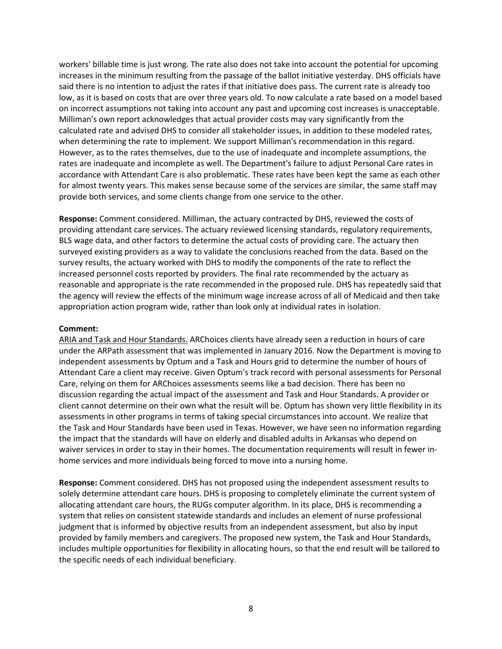workers' billable time is just wrong. The rate also does not take into account the potential for upcoming increases in the minimum resulting from the passage of the ballot initiative yesterday. DHS officials have said there is no intention to adjust the rates if that initiative does pass. The current rate is already too low, as it is based on costs that are over three years old. To now calculate a rate based on a model based on incorrect assumptions not taking into account any past and upcoming cost increases is unacceptable. Milliman's own report acknowledges that actual provider costs may vary significantly from the calculated rate and advised DHS to consider all stakeholder issues, in addition to these modeled rates, when determining the rate to implement. We support Milliman's recommendation in this regard. However, as to the rates themselves, due to the use of inadequate and incomplete assumptions, the rates are inadequate and incomplete as well. The Department's failure to adjust Personal Care rates in accordance with Attendant Care is also problematic. These rates have been kept the same as each other for almost twenty years. This makes sense because some of the services are similar, the same staff may provide both services, and some clients change from one service to the other.

Response: Comment considered. Milliman, the actuary contracted by DHS, reviewed the costs of providing attendant care services. The actuary reviewed licensing standards, regulatory requirements, BLS wage data, and other factors to determine the actual costs of providing care. The actuary then surveyed existing providers as a way to validate the conclusions reached from the data. Based on the survey results, the actuary worked with DHS to modify the components of the rate to reflect the increased personnel costs reported by providers. The final rate recommended by the actuary as reasonable and appropriate is the rate recommended in the proposed rule. DHS has repeatedly said that the agency will review the effects of the minimum wage increase across of all of Medicaid and then take appropriation action program wide, rather than look only at individual rates in isolation.

#### Comment:

ARIA and Task and Hour Standards. ARChoices clients have already seen a reduction in hours of care under the ARPath assessment that was implemented in January 2016. Now the Department is moving to independent assessments by Optum and a Task and Hours grid to determine the number of hours of Attendant Care a client may receive. Given Optum's track record with personal assessments for Personal Care, relying on them for ARChoices assessments seems like a bad decision. There has been no discussion regarding the actual impact of the assessment and Task and Hour Standards. A provider or client cannot determine on their own what the result will be. Optum has shown very little flexibility in its assessments in other programs in terms of taking special circumstances into account. We realize that the Task and Hour Standards have been used in Texas. However, we have seen no information regarding the impact that the standards will have on elderly and disabled adults in Arkansas who depend on waiver services in order to stay in their homes. The documentation requirements will result in fewer inhome services and more individuals being forced to move into a nursing home.

Response: Comment considered. DHS has not proposed using the independent assessment results to solely determine attendant care hours. DHS is proposing to completely eliminate the current system of allocating attendant care hours, the RUGs computer algorithm. In its place, DHS is recommending a system that relies on consistent statewide standards and includes an element of nurse professional judgment that is informed by objective results from an independent assessment, but also by input provided by family members and caregivers. The proposed new system, the Task and Hour Standards, includes multiple opportunities for flexibility in allocating hours, so that the end result will be tailored to the specific needs of each individual beneficiary.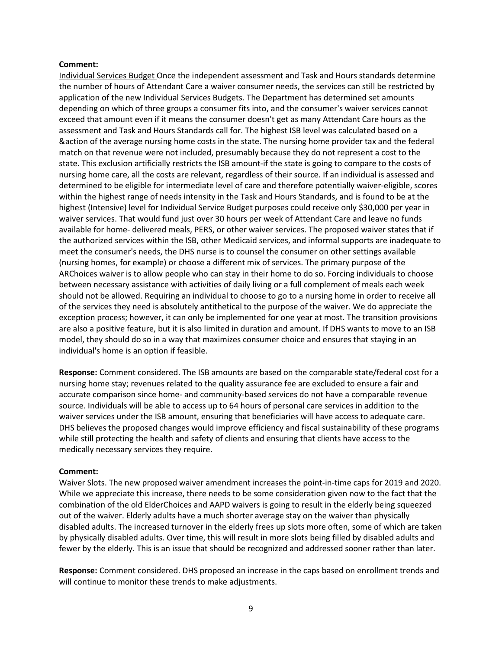#### Comment:

Individual Services Budget Once the independent assessment and Task and Hours standards determine the number of hours of Attendant Care a waiver consumer needs, the services can still be restricted by application of the new Individual Services Budgets. The Department has determined set amounts depending on which of three groups a consumer fits into, and the consumer's waiver services cannot exceed that amount even if it means the consumer doesn't get as many Attendant Care hours as the assessment and Task and Hours Standards call for. The highest ISB level was calculated based on a &action of the average nursing home costs in the state. The nursing home provider tax and the federal match on that revenue were not included, presumably because they do not represent a cost to the state. This exclusion artificially restricts the ISB amount-if the state is going to compare to the costs of nursing home care, all the costs are relevant, regardless of their source. If an individual is assessed and determined to be eligible for intermediate level of care and therefore potentially waiver-eligible, scores within the highest range of needs intensity in the Task and Hours Standards, and is found to be at the highest (Intensive) level for Individual Service Budget purposes could receive only \$30,000 per year in waiver services. That would fund just over 30 hours per week of Attendant Care and leave no funds available for home- delivered meals, PERS, or other waiver services. The proposed waiver states that if the authorized services within the ISB, other Medicaid services, and informal supports are inadequate to meet the consumer's needs, the DHS nurse is to counsel the consumer on other settings available (nursing homes, for example) or choose a different mix of services. The primary purpose of the ARChoices waiver is to allow people who can stay in their home to do so. Forcing individuals to choose between necessary assistance with activities of daily living or a full complement of meals each week should not be allowed. Requiring an individual to choose to go to a nursing home in order to receive all of the services they need is absolutely antithetical to the purpose of the waiver. We do appreciate the exception process; however, it can only be implemented for one year at most. The transition provisions are also a positive feature, but it is also limited in duration and amount. If DHS wants to move to an ISB model, they should do so in a way that maximizes consumer choice and ensures that staying in an individual's home is an option if feasible.

Response: Comment considered. The ISB amounts are based on the comparable state/federal cost for a nursing home stay; revenues related to the quality assurance fee are excluded to ensure a fair and accurate comparison since home- and community-based services do not have a comparable revenue source. Individuals will be able to access up to 64 hours of personal care services in addition to the waiver services under the ISB amount, ensuring that beneficiaries will have access to adequate care. DHS believes the proposed changes would improve efficiency and fiscal sustainability of these programs while still protecting the health and safety of clients and ensuring that clients have access to the medically necessary services they require.

#### Comment:

Waiver Slots. The new proposed waiver amendment increases the point-in-time caps for 2019 and 2020. While we appreciate this increase, there needs to be some consideration given now to the fact that the combination of the old ElderChoices and AAPD waivers is going to result in the elderly being squeezed out of the waiver. Elderly adults have a much shorter average stay on the waiver than physically disabled adults. The increased turnover in the elderly frees up slots more often, some of which are taken by physically disabled adults. Over time, this will result in more slots being filled by disabled adults and fewer by the elderly. This is an issue that should be recognized and addressed sooner rather than later.

Response: Comment considered. DHS proposed an increase in the caps based on enrollment trends and will continue to monitor these trends to make adjustments.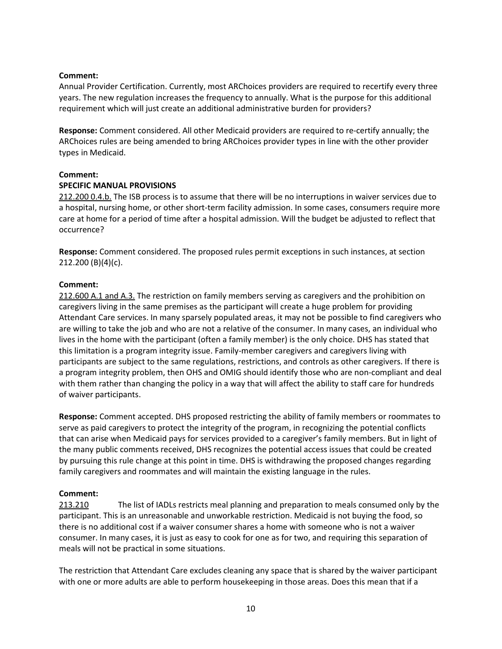## Comment:

Annual Provider Certification. Currently, most ARChoices providers are required to recertify every three years. The new regulation increases the frequency to annually. What is the purpose for this additional requirement which will just create an additional administrative burden for providers?

Response: Comment considered. All other Medicaid providers are required to re-certify annually; the ARChoices rules are being amended to bring ARChoices provider types in line with the other provider types in Medicaid.

#### Comment:

#### SPECIFIC MANUAL PROVISIONS

212.200 0.4.b. The ISB process is to assume that there will be no interruptions in waiver services due to a hospital, nursing home, or other short-term facility admission. In some cases, consumers require more care at home for a period of time after a hospital admission. Will the budget be adjusted to reflect that occurrence?

Response: Comment considered. The proposed rules permit exceptions in such instances, at section 212.200 (B)(4)(c).

#### Comment:

212.600 A.1 and A.3. The restriction on family members serving as caregivers and the prohibition on caregivers living in the same premises as the participant will create a huge problem for providing Attendant Care services. In many sparsely populated areas, it may not be possible to find caregivers who are willing to take the job and who are not a relative of the consumer. In many cases, an individual who lives in the home with the participant (often a family member) is the only choice. DHS has stated that this limitation is a program integrity issue. Family-member caregivers and caregivers living with participants are subject to the same regulations, restrictions, and controls as other caregivers. If there is a program integrity problem, then OHS and OMIG should identify those who are non-compliant and deal with them rather than changing the policy in a way that will affect the ability to staff care for hundreds of waiver participants.

Response: Comment accepted. DHS proposed restricting the ability of family members or roommates to serve as paid caregivers to protect the integrity of the program, in recognizing the potential conflicts that can arise when Medicaid pays for services provided to a caregiver's family members. But in light of the many public comments received, DHS recognizes the potential access issues that could be created by pursuing this rule change at this point in time. DHS is withdrawing the proposed changes regarding family caregivers and roommates and will maintain the existing language in the rules.

## Comment:

213.210 The list of IADLs restricts meal planning and preparation to meals consumed only by the participant. This is an unreasonable and unworkable restriction. Medicaid is not buying the food, so there is no additional cost if a waiver consumer shares a home with someone who is not a waiver consumer. In many cases, it is just as easy to cook for one as for two, and requiring this separation of meals will not be practical in some situations.

The restriction that Attendant Care excludes cleaning any space that is shared by the waiver participant with one or more adults are able to perform housekeeping in those areas. Does this mean that if a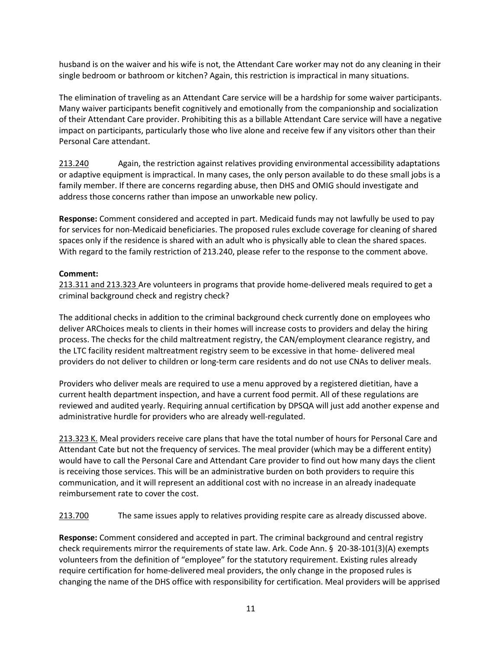husband is on the waiver and his wife is not, the Attendant Care worker may not do any cleaning in their single bedroom or bathroom or kitchen? Again, this restriction is impractical in many situations.

The elimination of traveling as an Attendant Care service will be a hardship for some waiver participants. Many waiver participants benefit cognitively and emotionally from the companionship and socialization of their Attendant Care provider. Prohibiting this as a billable Attendant Care service will have a negative impact on participants, particularly those who live alone and receive few if any visitors other than their Personal Care attendant.

213.240 Again, the restriction against relatives providing environmental accessibility adaptations or adaptive equipment is impractical. In many cases, the only person available to do these small jobs is a family member. If there are concerns regarding abuse, then DHS and OMIG should investigate and address those concerns rather than impose an unworkable new policy.

Response: Comment considered and accepted in part. Medicaid funds may not lawfully be used to pay for services for non-Medicaid beneficiaries. The proposed rules exclude coverage for cleaning of shared spaces only if the residence is shared with an adult who is physically able to clean the shared spaces. With regard to the family restriction of 213.240, please refer to the response to the comment above.

## Comment:

213.311 and 213.323 Are volunteers in programs that provide home-delivered meals required to get a criminal background check and registry check?

The additional checks in addition to the criminal background check currently done on employees who deliver ARChoices meals to clients in their homes will increase costs to providers and delay the hiring process. The checks for the child maltreatment registry, the CAN/employment clearance registry, and the LTC facility resident maltreatment registry seem to be excessive in that home- delivered meal providers do not deliver to children or long-term care residents and do not use CNAs to deliver meals.

Providers who deliver meals are required to use a menu approved by a registered dietitian, have a current health department inspection, and have a current food permit. All of these regulations are reviewed and audited yearly. Requiring annual certification by DPSQA will just add another expense and administrative hurdle for providers who are already well-regulated.

213.323 K. Meal providers receive care plans that have the total number of hours for Personal Care and Attendant Cate but not the frequency of services. The meal provider (which may be a different entity) would have to call the Personal Care and Attendant Care provider to find out how many days the client is receiving those services. This will be an administrative burden on both providers to require this communication, and it will represent an additional cost with no increase in an already inadequate reimbursement rate to cover the cost.

213.700 The same issues apply to relatives providing respite care as already discussed above.

Response: Comment considered and accepted in part. The criminal background and central registry check requirements mirror the requirements of state law. Ark. Code Ann. § 20-38-101(3)(A) exempts volunteers from the definition of "employee" for the statutory requirement. Existing rules already require certification for home-delivered meal providers, the only change in the proposed rules is changing the name of the DHS office with responsibility for certification. Meal providers will be apprised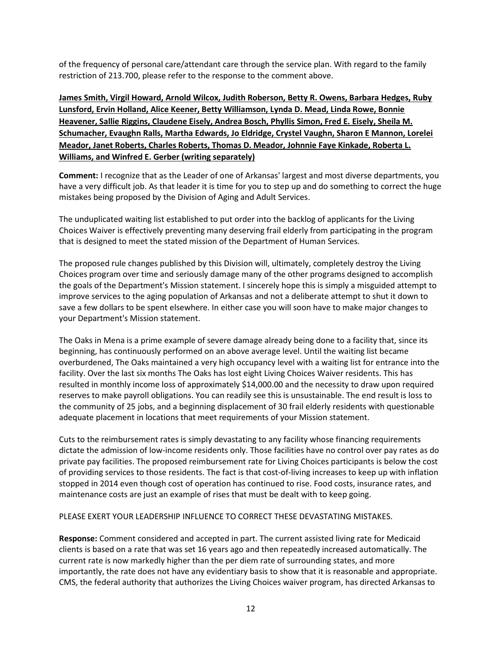of the frequency of personal care/attendant care through the service plan. With regard to the family restriction of 213.700, please refer to the response to the comment above.

James Smith, Virgil Howard, Arnold Wilcox, Judith Roberson, Betty R. Owens, Barbara Hedges, Ruby Lunsford, Ervin Holland, Alice Keener, Betty Williamson, Lynda D. Mead, Linda Rowe, Bonnie Heavener, Sallie Riggins, Claudene Eisely, Andrea Bosch, Phyllis Simon, Fred E. Eisely, Sheila M. Schumacher, Evaughn Ralls, Martha Edwards, Jo Eldridge, Crystel Vaughn, Sharon E Mannon, Lorelei Meador, Janet Roberts, Charles Roberts, Thomas D. Meador, Johnnie Faye Kinkade, Roberta L. Williams, and Winfred E. Gerber (writing separately)

Comment: I recognize that as the Leader of one of Arkansas' largest and most diverse departments, you have a very difficult job. As that leader it is time for you to step up and do something to correct the huge mistakes being proposed by the Division of Aging and Adult Services.

The unduplicated waiting list established to put order into the backlog of applicants for the Living Choices Waiver is effectively preventing many deserving frail elderly from participating in the program that is designed to meet the stated mission of the Department of Human Services.

The proposed rule changes published by this Division will, ultimately, completely destroy the Living Choices program over time and seriously damage many of the other programs designed to accomplish the goals of the Department's Mission statement. I sincerely hope this is simply a misguided attempt to improve services to the aging population of Arkansas and not a deliberate attempt to shut it down to save a few dollars to be spent elsewhere. In either case you will soon have to make major changes to your Department's Mission statement.

The Oaks in Mena is a prime example of severe damage already being done to a facility that, since its beginning, has continuously performed on an above average level. Until the waiting list became overburdened, The Oaks maintained a very high occupancy level with a waiting list for entrance into the facility. Over the last six months The Oaks has lost eight Living Choices Waiver residents. This has resulted in monthly income loss of approximately \$14,000.00 and the necessity to draw upon required reserves to make payroll obligations. You can readily see this is unsustainable. The end result is loss to the community of 25 jobs, and a beginning displacement of 30 frail elderly residents with questionable adequate placement in locations that meet requirements of your Mission statement.

Cuts to the reimbursement rates is simply devastating to any facility whose financing requirements dictate the admission of low-income residents only. Those facilities have no control over pay rates as do private pay facilities. The proposed reimbursement rate for Living Choices participants is below the cost of providing services to those residents. The fact is that cost-of-living increases to keep up with inflation stopped in 2014 even though cost of operation has continued to rise. Food costs, insurance rates, and maintenance costs are just an example of rises that must be dealt with to keep going.

## PLEASE EXERT YOUR LEADERSHIP INFLUENCE TO CORRECT THESE DEVASTATING MISTAKES.

Response: Comment considered and accepted in part. The current assisted living rate for Medicaid clients is based on a rate that was set 16 years ago and then repeatedly increased automatically. The current rate is now markedly higher than the per diem rate of surrounding states, and more importantly, the rate does not have any evidentiary basis to show that it is reasonable and appropriate. CMS, the federal authority that authorizes the Living Choices waiver program, has directed Arkansas to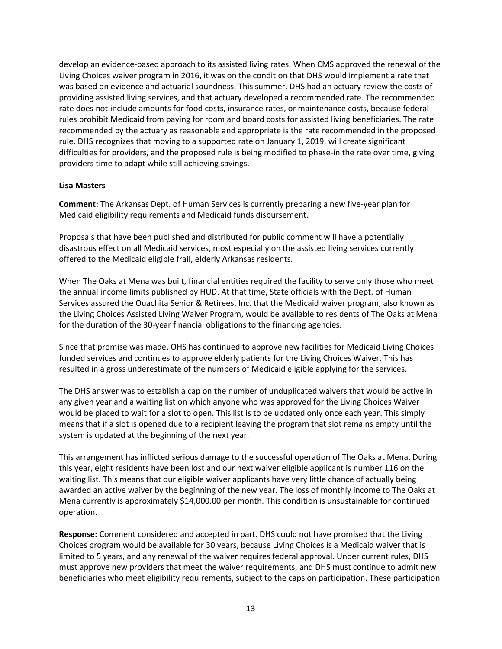develop an evidence-based approach to its assisted living rates. When CMS approved the renewal of the Living Choices waiver program in 2016, it was on the condition that DHS would implement a rate that was based on evidence and actuarial soundness. This summer, DHS had an actuary review the costs of providing assisted living services, and that actuary developed a recommended rate. The recommended rate does not include amounts for food costs, insurance rates, or maintenance costs, because federal rules prohibit Medicaid from paying for room and board costs for assisted living beneficiaries. The rate recommended by the actuary as reasonable and appropriate is the rate recommended in the proposed rule. DHS recognizes that moving to a supported rate on January 1, 2019, will create significant difficulties for providers, and the proposed rule is being modified to phase-in the rate over time, giving providers time to adapt while still achieving savings.

## Lisa Masters

Comment: The Arkansas Dept. of Human Services is currently preparing a new five-year plan for Medicaid eligibility requirements and Medicaid funds disbursement.

Proposals that have been published and distributed for public comment will have a potentially disastrous effect on all Medicaid services, most especially on the assisted living services currently offered to the Medicaid eligible frail, elderly Arkansas residents.

When The Oaks at Mena was built, financial entities required the facility to serve only those who meet the annual income limits published by HUD. At that time, State officials with the Dept. of Human Services assured the Ouachita Senior & Retirees, Inc. that the Medicaid waiver program, also known as the Living Choices Assisted Living Waiver Program, would be available to residents of The Oaks at Mena for the duration of the 30-year financial obligations to the financing agencies.

Since that promise was made, OHS has continued to approve new facilities for Medicaid Living Choices funded services and continues to approve elderly patients for the Living Choices Waiver. This has resulted in a gross underestimate of the numbers of Medicaid eligible applying for the services.

The DHS answer was to establish a cap on the number of unduplicated waivers that would be active in any given year and a waiting list on which anyone who was approved for the Living Choices Waiver would be placed to wait for a slot to open. This list is to be updated only once each year. This simply means that if a slot is opened due to a recipient leaving the program that slot remains empty until the system is updated at the beginning of the next year.

This arrangement has inflicted serious damage to the successful operation of The Oaks at Mena. During this year, eight residents have been lost and our next waiver eligible applicant is number 116 on the waiting list. This means that our eligible waiver applicants have very little chance of actually being awarded an active waiver by the beginning of the new year. The loss of monthly income to The Oaks at Mena currently is approximately \$14,000.00 per month. This condition is unsustainable for continued operation.

Response: Comment considered and accepted in part. DHS could not have promised that the Living Choices program would be available for 30 years, because Living Choices is a Medicaid waiver that is limited to 5 years, and any renewal of the waiver requires federal approval. Under current rules, DHS must approve new providers that meet the waiver requirements, and DHS must continue to admit new beneficiaries who meet eligibility requirements, subject to the caps on participation. These participation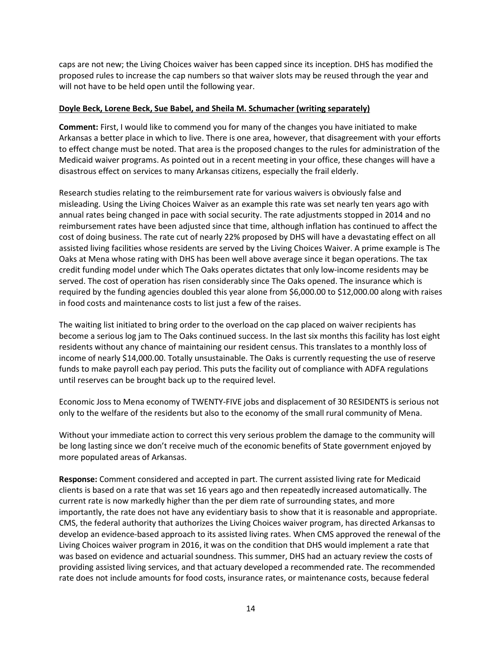caps are not new; the Living Choices waiver has been capped since its inception. DHS has modified the proposed rules to increase the cap numbers so that waiver slots may be reused through the year and will not have to be held open until the following year.

## Doyle Beck, Lorene Beck, Sue Babel, and Sheila M. Schumacher (writing separately)

Comment: First, I would like to commend you for many of the changes you have initiated to make Arkansas a better place in which to live. There is one area, however, that disagreement with your efforts to effect change must be noted. That area is the proposed changes to the rules for administration of the Medicaid waiver programs. As pointed out in a recent meeting in your office, these changes will have a disastrous effect on services to many Arkansas citizens, especially the frail elderly.

Research studies relating to the reimbursement rate for various waivers is obviously false and misleading. Using the Living Choices Waiver as an example this rate was set nearly ten years ago with annual rates being changed in pace with social security. The rate adjustments stopped in 2014 and no reimbursement rates have been adjusted since that time, although inflation has continued to affect the cost of doing business. The rate cut of nearly 22% proposed by DHS will have a devastating effect on all assisted living facilities whose residents are served by the Living Choices Waiver. A prime example is The Oaks at Mena whose rating with DHS has been well above average since it began operations. The tax credit funding model under which The Oaks operates dictates that only low-income residents may be served. The cost of operation has risen considerably since The Oaks opened. The insurance which is required by the funding agencies doubled this year alone from \$6,000.00 to \$12,000.00 along with raises in food costs and maintenance costs to list just a few of the raises.

The waiting list initiated to bring order to the overload on the cap placed on waiver recipients has become a serious log jam to The Oaks continued success. In the last six months this facility has lost eight residents without any chance of maintaining our resident census. This translates to a monthly loss of income of nearly \$14,000.00. Totally unsustainable. The Oaks is currently requesting the use of reserve funds to make payroll each pay period. This puts the facility out of compliance with ADFA regulations until reserves can be brought back up to the required level.

Economic Joss to Mena economy of TWENTY-FIVE jobs and displacement of 30 RESIDENTS is serious not only to the welfare of the residents but also to the economy of the small rural community of Mena.

Without your immediate action to correct this very serious problem the damage to the community will be long lasting since we don't receive much of the economic benefits of State government enjoyed by more populated areas of Arkansas.

Response: Comment considered and accepted in part. The current assisted living rate for Medicaid clients is based on a rate that was set 16 years ago and then repeatedly increased automatically. The current rate is now markedly higher than the per diem rate of surrounding states, and more importantly, the rate does not have any evidentiary basis to show that it is reasonable and appropriate. CMS, the federal authority that authorizes the Living Choices waiver program, has directed Arkansas to develop an evidence-based approach to its assisted living rates. When CMS approved the renewal of the Living Choices waiver program in 2016, it was on the condition that DHS would implement a rate that was based on evidence and actuarial soundness. This summer, DHS had an actuary review the costs of providing assisted living services, and that actuary developed a recommended rate. The recommended rate does not include amounts for food costs, insurance rates, or maintenance costs, because federal